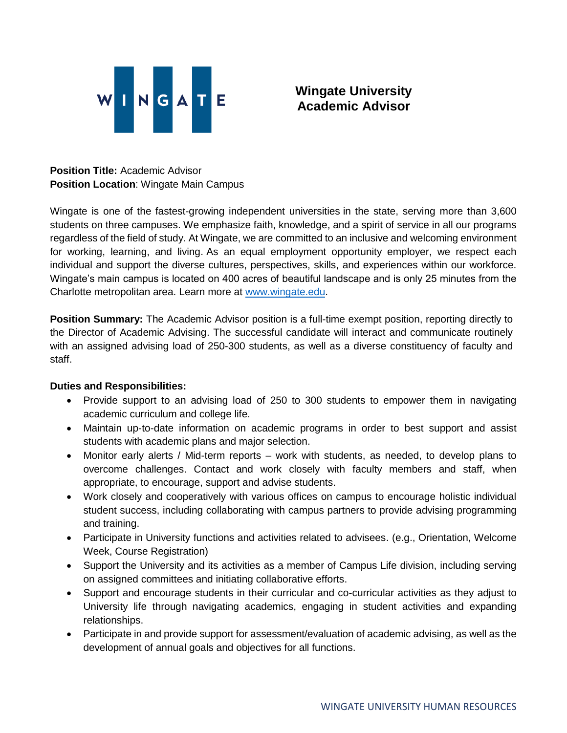

**Wingate University Academic Advisor**

**Position Title:** Academic Advisor **Position Location**: Wingate Main Campus

Wingate is one of the fastest-growing independent universities in the state, serving more than 3,600 students on three campuses. We emphasize faith, knowledge, and a spirit of service in all our programs regardless of the field of study. At Wingate, we are committed to an inclusive and welcoming environment for working, learning, and living. As an equal employment opportunity employer, we respect each individual and support the diverse cultures, perspectives, skills, and experiences within our workforce. Wingate's main campus is located on 400 acres of beautiful landscape and is only 25 minutes from the Charlotte metropolitan area. Learn more at [www.wingate.edu.](http://www.wingate/edu)

**Position Summary:** The Academic Advisor position is a full-time exempt position, reporting directly to the Director of Academic Advising. The successful candidate will interact and communicate routinely with an assigned advising load of 250-300 students, as well as a diverse constituency of faculty and staff.

## **Duties and Responsibilities:**

- Provide support to an advising load of 250 to 300 students to empower them in navigating academic curriculum and college life.
- Maintain up-to-date information on academic programs in order to best support and assist students with academic plans and major selection.
- Monitor early alerts / Mid-term reports work with students, as needed, to develop plans to overcome challenges. Contact and work closely with faculty members and staff, when appropriate, to encourage, support and advise students.
- Work closely and cooperatively with various offices on campus to encourage holistic individual student success, including collaborating with campus partners to provide advising programming and training.
- Participate in University functions and activities related to advisees. (e.g., Orientation, Welcome Week, Course Registration)
- Support the University and its activities as a member of Campus Life division, including serving on assigned committees and initiating collaborative efforts.
- Support and encourage students in their curricular and co-curricular activities as they adjust to University life through navigating academics, engaging in student activities and expanding relationships.
- Participate in and provide support for assessment/evaluation of academic advising, as well as the development of annual goals and objectives for all functions.